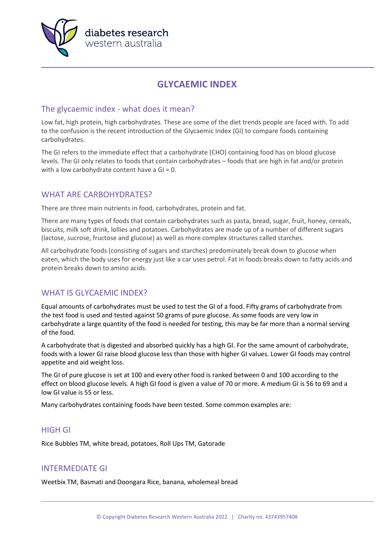

# **GLYCAEMIC INDEX**

### The glycaemic index - what does it mean?

Low fat, high protein, high carbohydrates. These are some of the diet trends people are faced with. To add to the confusion is the recent introduction of the Glycaemic Index (GI) to compare foods containing carbohydrates.

The GI refers to the immediate effect that a carbohydrate (CHO) containing food has on blood glucose levels. The GI only relates to foods that contain carbohydrates – foods that are high in fat and/or protein with a low carbohydrate content have a  $GI = 0$ .

# WHAT ARE CARBOHYDRATES?

There are three main nutrients in food, carbohydrates, protein and fat.

There are many types of foods that contain carbohydrates such as pasta, bread, sugar, fruit, honey, cereals, biscuits, milk soft drink, lollies and potatoes. Carbohydrates are made up of a number of different sugars (lactose, sucrose, fructose and glucose) as well as more complex structures called starches.

All carbohydrate foods (consisting of sugars and starches) predominately break down to glucose when eaten, which the body uses for energy just like a car uses petrol. Fat in foods breaks down to fatty acids and protein breaks down to amino acids.

# WHAT IS GLYCAEMIC INDEX?

Equal amounts of carbohydrates must be used to test the GI of a food. Fifty grams of carbohydrate from the test food is used and tested against 50 grams of pure glucose. As some foods are very low in carbohydrate a large quantity of the food is needed for testing, this may be far more than a normal serving of the food.

A carbohydrate that is digested and absorbed quickly has a high GI. For the same amount of carbohydrate, foods with a lower GI raise blood glucose less than those with higher GI values. Lower GI foods may control appetite and aid weight loss.

The GI of pure glucose is set at 100 and every other food is ranked between 0 and 100 according to the effect on blood glucose levels. A high GI food is given a value of 70 or more. A medium GI is 56 to 69 and a low GI value is 55 or less.

Many carbohydrates containing foods have been tested. Some common examples are:

### HIGH GI

Rice Bubbles TM, white bread, potatoes, Roll Ups TM, Gatorade

### INTERMEDIATE GI

Weetbix TM, Basmati and Doongara Rice, banana, wholemeal bread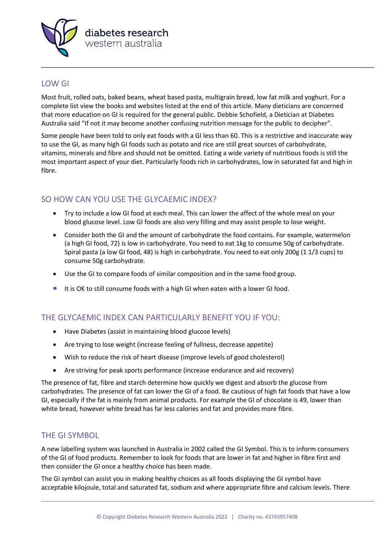

#### LOW GI

Most fruit, rolled oats, baked beans, wheat based pasta, multigrain bread, low fat milk and yoghurt. For a complete list view the books and websites listed at the end of this article. Many dieticians are concerned that more education on GI is required for the general public. Debbie Schofield, a Dietician at Diabetes Australia said "If not it may become another confusing nutrition message for the public to decipher".

Some people have been told to only eat foods with a GI less than 60. This is a restrictive and inaccurate way to use the GI, as many high GI foods such as potato and rice are still great sources of carbohydrate, vitamins, minerals and fibre and should not be omitted. Eating a wide variety of nutritious foods is still the most important aspect of your diet. Particularly foods rich in carbohydrates, low in saturated fat and high in fibre.

# SO HOW CAN YOU USE THE GLYCAEMIC INDEX?

- Try to include a low GI food at each meal. This can lower the affect of the whole meal on your blood glucose level. Low GI foods are also very filling and may assist people to lose weight.
- Consider both the GI and the amount of carbohydrate the food contains. For example, watermelon (a high GI food, 72) is low in carbohydrate. You need to eat 1kg to consume 50g of carbohydrate. Spiral pasta (a low GI food, 48) is high in carbohydrate. You need to eat only 200g (1 1/3 cups) to consume 50g carbohydrate.
- Use the GI to compare foods of similar composition and in the same food group.
- It is OK to still consume foods with a high GI when eaten with a lower GI food.

### THE GLYCAEMIC INDEX CAN PARTICULARLY BENEFIT YOU IF YOU:

- Have Diabetes (assist in maintaining blood glucose levels)
- Are trying to lose weight (increase feeling of fullness, decrease appetite)
- Wish to reduce the risk of heart disease (improve levels of good cholesterol)
- Are striving for peak sports performance (increase endurance and aid recovery)

The presence of fat, fibre and starch determine how quickly we digest and absorb the glucose from carbohydrates. The presence of fat can lower the GI of a food. Be cautious of high fat foods that have a low GI, especially if the fat is mainly from animal products. For example the GI of chocolate is 49, lower than white bread, however white bread has far less calories and fat and provides more fibre.

#### THE GI SYMBOL

A new labelling system was launched in Australia in 2002 called the GI Symbol. This is to inform consumers of the GI of food products. Remember to look for foods that are lower in fat and higher in fibre first and then consider the GI once a healthy choice has been made.

The GI symbol can assist you in making healthy choices as all foods displaying the GI symbol have acceptable kilojoule, total and saturated fat, sodium and where appropriate fibre and calcium levels. There